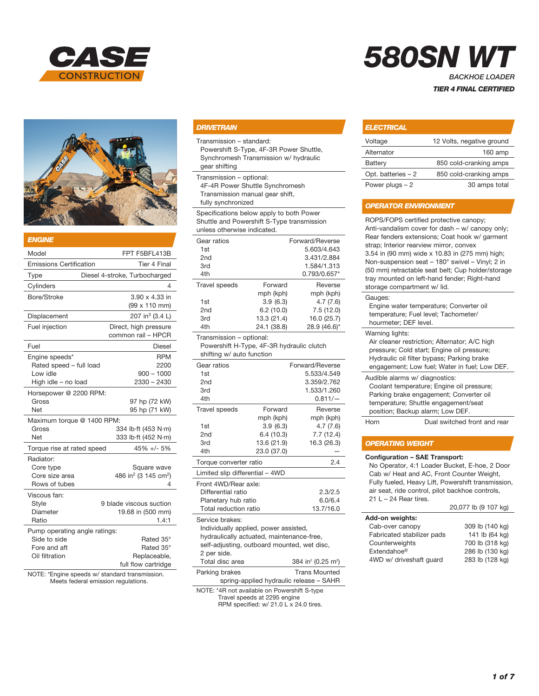



| <b>ENGINE</b>                                                                   |                                                                  |
|---------------------------------------------------------------------------------|------------------------------------------------------------------|
| Model                                                                           | FPT F5BFL413B                                                    |
| <b>Emissions Certification</b>                                                  | Tier 4 Final                                                     |
| Type                                                                            | Diesel 4-stroke, Turbocharged                                    |
| Cylinders                                                                       | 4                                                                |
| Bore/Stroke                                                                     | 3.90 x 4.33 in<br>(99 x 110 mm)                                  |
| Displacement                                                                    | 207 in <sup>3</sup> (3.4 L)                                      |
| Fuel injection                                                                  | Direct, high pressure<br>common rail - HPCR                      |
| Fuel                                                                            | <b>Diesel</b>                                                    |
| Engine speeds*<br>Rated speed - full load<br>Low idle<br>High idle - no load    | <b>RPM</b><br>2200<br>$900 - 1000$<br>$2330 - 2430$              |
| Horsepower @ 2200 RPM:<br>Gross<br><b>Net</b>                                   | 97 hp (72 kW)<br>95 hp (71 kW)                                   |
| Maximum torque @ 1400 RPM:<br>Gross<br><b>Net</b>                               | 334 lb-ft (453 N-m)<br>333 lb-ft (452 N-m)                       |
| Torque rise at rated speed                                                      | 45% +/- 5%                                                       |
| Radiator:<br>Core type<br>Core size area<br>Rows of tubes                       | Square wave<br>486 in <sup>2</sup> (3 145 cm <sup>2</sup> )<br>4 |
| Viscous fan:<br>Style<br>Diameter<br>Ratio                                      | 9 blade viscous suction<br>19.68 in (500 mm)<br>1.4:1            |
| Pump operating angle ratings:<br>Side to side<br>Fore and aft<br>Oil filtration | Rated 35°<br>Rated 35°<br>Replaceable,<br>full flow cartridge    |

NOTE: \*Engine speeds w/ standard transmission. Meets federal emission regulations.

#### *DRIVETRAIN*

Transmission – standard:

Powershift S-Type, 4F-3R Power Shuttle, Synchromesh Transmission w/ hydraulic gear shifting

Transmission – optional:

4F-4R Power Shuttle Synchromesh

Transmission manual gear shift,

fully synchronized

Specifications below apply to both Power Shuttle and Powershift S-Type transmission unless otherwise indicated.

| Gear ratios                                                                                        |             | Forward/Reverse                            |  |
|----------------------------------------------------------------------------------------------------|-------------|--------------------------------------------|--|
| 1st                                                                                                |             | 5.603/4.643                                |  |
| 2nd                                                                                                |             | 3.431/2.884                                |  |
| 3rd                                                                                                |             | 1.584/1.313                                |  |
| 4th                                                                                                |             | 0.793/0.657*                               |  |
| <b>Travel speeds</b>                                                                               | Forward     | Reverse                                    |  |
|                                                                                                    | mph (kph)   | mph (kph)                                  |  |
| 1st                                                                                                | 3.9(6.3)    | 4.7(7.6)                                   |  |
| 2 <sub>nd</sub>                                                                                    | 6.2(10.0)   | 7.5(12.0)                                  |  |
| 3rd                                                                                                | 13.3 (21.4) | 16.0 (25.7)                                |  |
| 4th                                                                                                | 24.1 (38.8) | 28.9 (46.6)*                               |  |
| Transmission - optional:<br>Powershift H-Type, 4F-3R hydraulic clutch<br>shifting w/ auto function |             |                                            |  |
| Gear ratios                                                                                        |             | Forward/Reverse                            |  |
| 1st                                                                                                |             | 5.533/4.549                                |  |
| 2nd                                                                                                |             | 3.359/2.762                                |  |
| 3rd                                                                                                |             | 1.533/1.260                                |  |
| 4th                                                                                                |             | $0.811/-$                                  |  |
| <b>Travel speeds</b>                                                                               | Forward     | Reverse                                    |  |
|                                                                                                    | mph (kph)   | mph (kph)                                  |  |
| 1st                                                                                                | 3.9(6.3)    | 4.7(7.6)                                   |  |
| 2nd                                                                                                | 6.4(10.3)   | 7.7(12.4)                                  |  |
| 3rd                                                                                                | 13.6 (21.9) | 16.3 (26.3)                                |  |
| 4th                                                                                                | 23.0 (37.0) |                                            |  |
| 2.4<br>Torque converter ratio                                                                      |             |                                            |  |
| Limited slip differential - 4WD                                                                    |             |                                            |  |
| Front 4WD/Rear axle:                                                                               |             |                                            |  |
| Differential ratio                                                                                 |             | 2.3/2.5                                    |  |
| Planetary hub ratio                                                                                |             | 6.0/6.4                                    |  |
| Total reduction ratio                                                                              |             | 13.7/16.0                                  |  |
| Service brakes:<br>Individually applied, power assisted,                                           |             |                                            |  |
| hydraulically actuated, maintenance-free,                                                          |             |                                            |  |
| self-adjusting, outboard mounted, wet disc,                                                        |             |                                            |  |
| 2 per side.<br>Total disc area                                                                     |             | 384 in <sup>2</sup> (0.25 m <sup>2</sup> ) |  |
|                                                                                                    |             |                                            |  |
| Parking brakes                                                                                     |             | <b>Trans Mounted</b>                       |  |
|                                                                                                    |             | spring-applied hydraulic release - SAHR    |  |

NOTE: \*4R not available on Powershift S-type Travel speeds at 2295 engine RPM specified: w/ 21.0 L x 24.0 tires.

# *580SN WT*

*BACKHOE LOADER TIER 4 FINAL CERTIFIED*

## *ELECTRICAL*

| Voltage             | 12 Volts, negative ground |
|---------------------|---------------------------|
| Alternator          | $160$ amp                 |
| Battery             | 850 cold-cranking amps    |
| Opt. batteries $-2$ | 850 cold-cranking amps    |
| Power plugs $-2$    | 30 amps total             |

#### *OPERATOR ENVIRONMENT*

ROPS/FOPS certified protective canopy; Anti-vandalism cover for dash – w/ canopy only; Rear fenders extensions; Coat hook w/ garment strap; Interior rearview mirror, convex 3.54 in (90 mm) wide x 10.83 in (275 mm) high; Non-suspension seat – 180° swivel – Vinyl; 2 in (50 mm) retractable seat belt; Cup holder/storage tray mounted on left-hand fender; Right-hand storage compartment w/ lid. Gauges: Engine water temperature; Converter oil Tachometer/

| temperature; Fuel level; T |  |
|----------------------------|--|
| hourmeter; DEF level.      |  |

#### Warning lights:

Air cleaner restriction; Alternator; A/C high pressure; Cold start; Engine oil pressure; Hydraulic oil filter bypass; Parking brake engagement; Low fuel; Water in fuel; Low DEF. Audible alarms w/ diagnostics:

Coolant temperature; Engine oil pressure; Parking brake engagement; Converter oil temperature; Shuttle engagement/seat position; Backup alarm; Low DEF.

Horn Dual switched front and rear

#### *OPERATING WEIGHT*

#### Configuration – SAE Transport:

No Operator, 4:1 Loader Bucket, E-hoe, 2 Door Cab w/ Heat and AC, Front Counter Weight, Fully fueled, Heavy Lift, Powershift transmission, air seat, ride control, pilot backhoe controls, 21 L – 24 Rear tires. 20,077 lb (9 107 kg)

| $L$ v, $U$ $I$ $U$ $V$ $V$ $I$ $V$ $I$ $V$ |
|--------------------------------------------|
|                                            |
| 309 lb (140 kg)                            |
| 141 lb (64 kg)                             |
| 700 lb (318 kg)                            |
| 286 lb (130 kg)                            |
| 283 lb (128 kg)                            |
|                                            |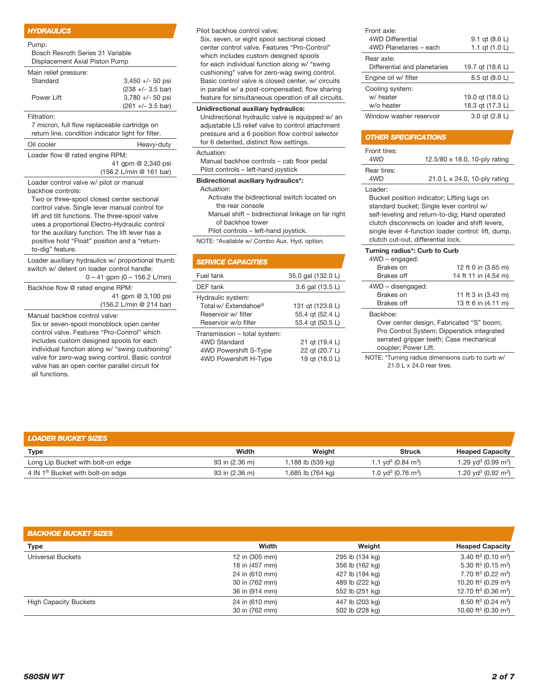#### *HYDRAULICS*

Bosch Rexroth Series 31 Variable Displacement Axial Piston Pump

| Main relief pressure: |                             |
|-----------------------|-----------------------------|
| Standard              | $3.450 +/- 50$ psi          |
|                       | $(238 +/- 3.5 \text{ bar})$ |
| Power Lift            | $3,780 + -50$ psi           |
|                       | $(261 +/- 3.5 \text{ bar})$ |

#### Filtration:

7 micron, full flow replaceable cartridge on return line, condition indicator light for filter.

Oil cooler **Heavy-duty** 

Loader flow @ rated engine RPM:

 41 gpm @ 2,340 psi (156.2 L/min @ 161 bar)

Loader control valve w/ pilot or manual backhoe controls:

Two or three-spool closed center sectional control valve. Single lever manual control for lift and tilt functions. The three-spool valve uses a proportional Electro-Hydraulic control for the auxiliary function. The lift lever has a positive hold "Float" position and a "returnto-dig" feature.

Loader auxiliary hydraulics w/ proportional thumb switch w/ detent on loader control handle: 0 – 41 gpm (0 – 156.2 L/min)

Backhoe flow @ rated engine RPM: 41 gpm @ 3,100 psi (156.2 L/min @ 214 bar)

Manual backhoe control valve:

Six or seven-spool monoblock open center control valve. Features "Pro-Control" which includes custom designed spools for each individual function along w/ "swing cushioning" valve for zero-wag swing control. Basic control valve has an open center parallel circuit for all functions.

Pilot backhoe control valve:

Six, seven, or eight spool sectional closed center control valve. Features "Pro-Control" which includes custom designed spools for each individual function along w/ "swing cushioning" valve for zero-wag swing control. Basic control valve is closed center, w/ circuits in parallel w/ a post-compensated, flow sharing feature for simultaneous operation of all circuits.

#### Unidirectional auxiliary hydraulics:

Unidirectional hydraulic valve is equipped w/ an adjustable LS relief valve to control attachment pressure and a 6 position flow control selector for 6 detented, distinct flow settings.

#### Actuation:

Manual backhoe controls – cab floor pedal Pilot controls – left-hand joystick

#### Bidirectional auxiliary hydraulics\*:

Actuation:

 Activate the bidirectional switch located on the rear console

 Manual shift – bidirectional linkage on far right of backhoe tower

Pilot controls – left-hand joystick.

NOTE: \*Available w/ Combo Aux. Hyd. option.

| <b>SERVICE CAPACITIES</b>                                                                      |                                                          |
|------------------------------------------------------------------------------------------------|----------------------------------------------------------|
| Fuel tank                                                                                      | 35.0 gal (132.0 L)                                       |
| DEF tank                                                                                       | 3.6 gal (13.5 L)                                         |
| Hydraulic system:<br>Total w/ Extendahoe®<br>Reservoir w/ filter<br>Reservoir w/o filter       | 131 gt (123.6 L)<br>55.4 gt (52.4 L)<br>53.4 gt (50.5 L) |
| Transmission - total system:<br>4WD Standard<br>4WD Powershift S-Type<br>4WD Powershift H-Type | 21 qt (19.4 L)<br>22 gt (20.7 L)<br>19 gt (18.0 L)       |

| Front axle:                  |                  |
|------------------------------|------------------|
| 4WD Differential             | 9.1 gt (8.6 L)   |
| 4WD Planetaries - each       | 1.1 qt $(1.0 L)$ |
| Rear axle:                   |                  |
| Differential and planetaries | 19.7 qt (18.6 L) |
| Engine oil w/ filter         | 8.5 gt (8.0 L)   |
| Cooling system:              |                  |
| w/ heater                    | 19.0 gt (18.0 L) |
| w/o heater                   | 18.3 qt (17.3 L) |
|                              |                  |

#### *OTHER SPECIFICATIONS*

| Front tires:<br>4WD | 12.5/80 x 18.0, 10-ply rating |
|---------------------|-------------------------------|
| Rear tires:         |                               |
| 4WD                 | 21.0 L x 24.0, 10-ply rating  |
|                     |                               |

Loader:

Bucket position indicator; Lifting lugs on standard bucket; Single lever control w/ self-leveling and return-to-dig; Hand operated clutch disconnects on loader and shift levers, single lever 4-function loader control: lift, dump, clutch cut-out, differential lock.

| Turning radius*: Curb to Curb<br>4WD - engaged:                                     |                      |  |  |
|-------------------------------------------------------------------------------------|----------------------|--|--|
| Brakes on                                                                           | 12 ft 0 in (3.65 m)  |  |  |
| Brakes off                                                                          | 14 ft 11 in (4.54 m) |  |  |
| 4WD - disengaged:                                                                   |                      |  |  |
| Brakes on                                                                           | 11 ft 3 in (3.43 m)  |  |  |
| Brakes off                                                                          | 13 ft 6 in (4.11 m)  |  |  |
| Backhoe:                                                                            |                      |  |  |
| Over center design, Fabricated "S" boom;<br>$\sim$ $\sim$ $\sim$ $\sim$ $\sim$<br>. |                      |  |  |

 Pro Control System; Dipperstick integrated serrated gripper teeth; Case mechanical coupler; Power Lift.

NOTE: \*Turning radius dimensions curb to curb w/ 21.0 L x 24.0 rear tires.

| <b>LOADER BUCKET SIZES</b>                   |                |                   |                                            |                                             |
|----------------------------------------------|----------------|-------------------|--------------------------------------------|---------------------------------------------|
| <b>Type</b>                                  | Width          | Weight            | <b>Struck</b>                              | <b>Heaped Capacity</b>                      |
| Long Lip Bucket with bolt-on edge            | 93 in (2.36 m) | 1,188 lb (539 kg) | 1.1 vd <sup>3</sup> (0.84 m <sup>3</sup> ) | 1.29 yd <sup>3</sup> (0.99 m <sup>3</sup> ) |
| 4 IN 1 <sup>®</sup> Bucket with bolt-on edge | 93 in (2.36 m) | 1,685 lb (764 kg) | 1.0 yd <sup>3</sup> (0.76 m <sup>3</sup> ) | 1.20 yd <sup>3</sup> (0.92 m <sup>3</sup> ) |

| <b>BACKHOE BUCKET SIZES</b>  |                |                 |                                              |
|------------------------------|----------------|-----------------|----------------------------------------------|
| Type                         | Width          | Weight          | <b>Heaped Capacity</b>                       |
| <b>Universal Buckets</b>     | 12 in (305 mm) | 295 lb (134 kg) | 3.40 ft <sup>3</sup> (0.10 m <sup>3</sup> )  |
|                              | 18 in (457 mm) | 356 lb (162 kg) | 5.30 ft <sup>3</sup> (0.15 m <sup>3</sup> )  |
|                              | 24 in (610 mm) | 427 lb (194 kg) | 7.70 ft <sup>3</sup> (0.22 m <sup>3</sup> )  |
|                              | 30 in (762 mm) | 489 lb (222 kg) | 10.20 ft <sup>3</sup> (0.29 m <sup>3</sup> ) |
|                              | 36 in (914 mm) | 552 lb (251 kg) | 12.70 ft <sup>3</sup> (0.36 m <sup>3</sup> ) |
| <b>High Capacity Buckets</b> | 24 in (610 mm) | 447 lb (203 kg) | 8.50 ft <sup>3</sup> (0.24 m <sup>3</sup> )  |
|                              | 30 in (762 mm) | 502 lb (228 kg) | 10.60 ft <sup>3</sup> (0.30 m <sup>3</sup> ) |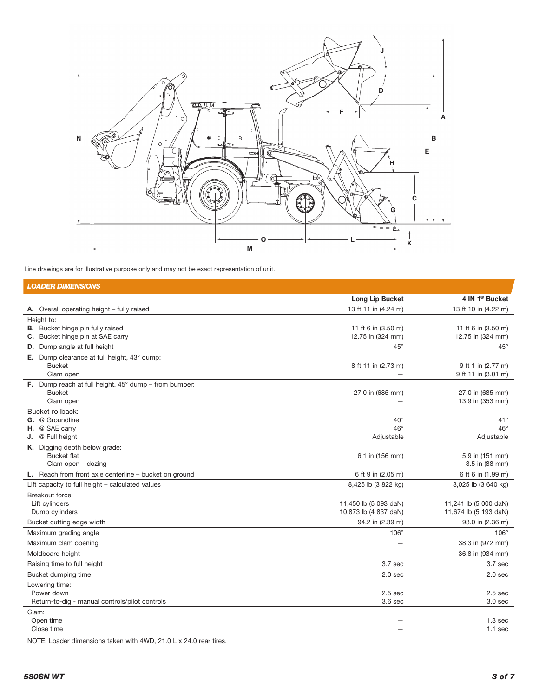

Line drawings are for illustrative purpose only and may not be exact representation of unit.

| <b>LOADER DIMENSIONS</b>                                              |                              |                            |
|-----------------------------------------------------------------------|------------------------------|----------------------------|
|                                                                       | Long Lip Bucket              | 4 IN 1 <sup>®</sup> Bucket |
| A. Overall operating height - fully raised                            | 13 ft 11 in (4.24 m)         | 13 ft 10 in (4.22 m)       |
| Height to:                                                            |                              |                            |
| <b>B.</b> Bucket hinge pin fully raised                               | 11 ft 6 in (3.50 m)          | 11 ft 6 in (3.50 m)        |
| C. Bucket hinge pin at SAE carry                                      | 12.75 in (324 mm)            | 12.75 in (324 mm)          |
| D. Dump angle at full height                                          | $45^{\circ}$                 | $45^{\circ}$               |
| E. Dump clearance at full height, 43° dump:<br><b>Bucket</b>          | 8 ft 11 in (2.73 m)          | 9 ft 1 in (2.77 m)         |
| Clam open                                                             |                              | 9 ft 11 in (3.01 m)        |
| <b>F.</b> Dump reach at full height, $45^{\circ}$ dump – from bumper: |                              |                            |
| <b>Bucket</b>                                                         | 27.0 in (685 mm)             | 27.0 in (685 mm)           |
| Clam open                                                             |                              | 13.9 in (353 mm)           |
| Bucket rollback:                                                      |                              |                            |
| <b>G.</b> @ Groundline                                                | $40^{\circ}$<br>$46^{\circ}$ | $41^{\circ}$               |
| H. @ SAE carry<br>J. @ Full height                                    | Adjustable                   | $46^{\circ}$<br>Adjustable |
| K. Digging depth below grade:                                         |                              |                            |
| <b>Bucket flat</b>                                                    | 6.1 in (156 mm)              | 5.9 in (151 mm)            |
| Clam open - dozing                                                    |                              | 3.5 in (88 mm)             |
| L. Reach from front axle centerline - bucket on ground                | 6 ft 9 in (2.05 m)           | 6 ft 6 in (1.99 m)         |
| Lift capacity to full height - calculated values                      | 8,425 lb (3 822 kg)          | 8,025 lb (3 640 kg)        |
| Breakout force:                                                       |                              |                            |
| Lift cylinders                                                        | 11,450 lb (5 093 daN)        | 11,241 lb (5 000 daN)      |
| Dump cylinders                                                        | 10,873 lb (4 837 daN)        | 11,674 lb (5 193 daN)      |
| Bucket cutting edge width                                             | 94.2 in (2.39 m)             | 93.0 in (2.36 m)           |
| Maximum grading angle                                                 | $106^\circ$                  | $106^\circ$                |
| Maximum clam opening                                                  |                              | 38.3 in (972 mm)           |
| Moldboard height                                                      |                              | 36.8 in (934 mm)           |
| Raising time to full height                                           | 3.7 sec                      | 3.7 sec                    |
| Bucket dumping time                                                   | 2.0 <sub>sec</sub>           | 2.0 <sub>sec</sub>         |
| Lowering time:                                                        |                              |                            |
| Power down                                                            | 2.5 <sub>sec</sub>           | 2.5 <sub>sec</sub>         |
| Return-to-dig - manual controls/pilot controls                        | 3.6 <sub>sec</sub>           | 3.0 <sub>sec</sub>         |
| Clam:<br>Open time                                                    |                              | 1.3 <sub>sec</sub>         |
| Close time                                                            |                              | $1.1$ sec                  |
|                                                                       |                              |                            |

NOTE: Loader dimensions taken with 4WD, 21.0 L x 24.0 rear tires.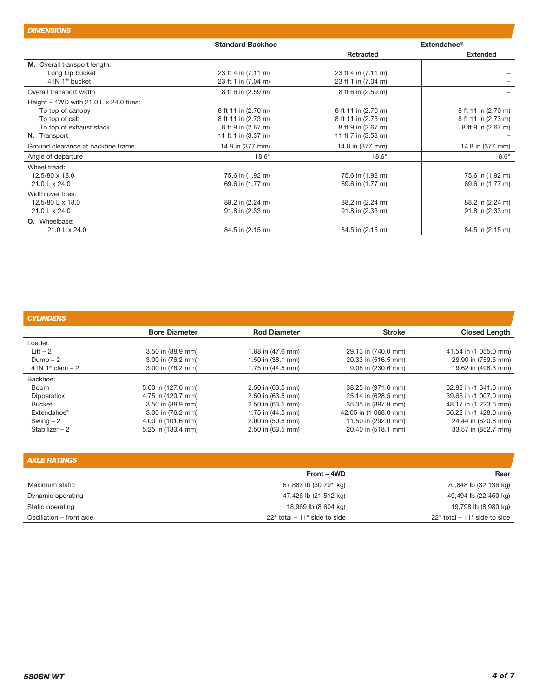| --------------                                  |                         |                                |                     |
|-------------------------------------------------|-------------------------|--------------------------------|---------------------|
|                                                 | <b>Standard Backhoe</b> | <b>Extendahoe</b> <sup>®</sup> |                     |
|                                                 |                         | Retracted                      | <b>Extended</b>     |
| M. Overall transport length:                    |                         |                                |                     |
| Long Lip bucket                                 | 23 ft 4 in (7.11 m)     | 23 ft 4 in (7.11 m)            |                     |
| 4 IN $1^{\circ}$ bucket                         | 23 ft 1 in (7.04 m)     | 23 ft 1 in (7.04 m)            |                     |
| Overall transport width                         | 8 ft 6 in (2.59 m)      | 8 ft 6 in (2.59 m)             |                     |
| Height $-$ 4WD with 21.0 L $\times$ 24.0 tires: |                         |                                |                     |
| To top of canopy                                | 8 ft 11 in (2.70 m)     | 8 ft 11 in (2.70 m)            | 8 ft 11 in (2.70 m) |
| To top of cab                                   | 8 ft 11 in (2.73 m)     | 8 ft 11 in (2.73 m)            | 8 ft 11 in (2.73 m) |
| To top of exhaust stack                         | 8 ft 9 in (2.67 m)      | 8 ft 9 in (2.67 m)             | 8 ft 9 in (2.67 m)  |
| <b>N.</b> Transport                             | 11 ft 1 in (3.37 m)     | 11 ft 7 in (3.53 m)            |                     |
| Ground clearance at backhoe frame               | 14.8 in (377 mm)        | 14.8 in (377 mm)               | 14.8 in (377 mm)    |
| Angle of departure                              | $18.6^\circ$            | $18.6^\circ$                   | $18.6^\circ$        |
| Wheel tread:                                    |                         |                                |                     |
| 12.5/80 x 18.0                                  | 75.6 in (1.92 m)        | 75.6 in (1.92 m)               | 75.6 in (1.92 m)    |
| 21.0 L x 24.0                                   | 69.6 in (1.77 m)        | 69.6 in (1.77 m)               | 69.6 in (1.77 m)    |
| Width over tires:                               |                         |                                |                     |
| 12.5/80 L x 18.0                                | 88.2 in (2.24 m)        | 88.2 in (2.24 m)               | 88.2 in (2.24 m)    |
| 21.0 L x 24.0                                   | 91.8 in (2.33 m)        | 91.8 in (2.33 m)               | 91.8 in (2.33 m)    |
| <b>O.</b> Wheelbase:                            |                         |                                |                     |
| 21.0 L x 24.0                                   | 84.5 in (2.15 m)        | 84.5 in (2.15 m)               | 84.5 in (2.15 m)    |

| <b>CYLINDERS</b>              |                      |                     |                       |                       |
|-------------------------------|----------------------|---------------------|-----------------------|-----------------------|
|                               | <b>Bore Diameter</b> | <b>Rod Diameter</b> | <b>Stroke</b>         | <b>Closed Length</b>  |
| Loader:                       |                      |                     |                       |                       |
| $Lift - 2$                    | 3.50 in (88.9 mm)    | 1.88 in (47.6 mm)   | 29.13 in (740.0 mm)   | 41.54 in (1 055.0 mm) |
| $Dump - 2$                    | 3.00 in (76.2 mm)    | 1.50 in (38.1 mm)   | 20.33 in (516.5 mm)   | 29.90 in (759.5 mm)   |
| 4 IN 1 <sup>®</sup> clam $-2$ | 3.00 in (76.2 mm)    | 1.75 in (44.5 mm)   | 9.08 in (230.6 mm)    | 19.62 in (498.3 mm)   |
| Backhoe:                      |                      |                     |                       |                       |
| Boom                          | 5.00 in (127.0 mm)   | 2.50 in (63.5 mm)   | 38.25 in (971.6 mm)   | 52.82 in (1 341.6 mm) |
| <b>Dipperstick</b>            | 4.75 in (120.7 mm)   | 2.50 in (63.5 mm)   | 25.14 in (628.5 mm)   | 39.65 in (1 007.0 mm) |
| <b>Bucket</b>                 | 3.50 in (88.9 mm)    | $2.50$ in (63.5 mm) | 35.35 in (897.9 mm)   | 48.17 in (1 223.6 mm) |
| Extendahoe <sup>®</sup>       | 3.00 in (76.2 mm)    | 1.75 in (44.5 mm)   | 42.05 in (1 068.0 mm) | 56.22 in (1 428.0 mm) |
| Swing $-2$                    | 4.00 in (101.6 mm)   | 2.00 in (50.8 mm)   | 11.50 in (292.0 mm)   | 24.44 in (620.8 mm)   |
| Stabilizer $-2$               | 5.25 in (133.4 mm)   | 2.50 in (63.5 mm)   | 20.40 in (518.1 mm)   | 33.57 in (852.7 mm)   |

| <b>AXLE RATINGS</b>      |                                                 |                                                 |
|--------------------------|-------------------------------------------------|-------------------------------------------------|
|                          | Front – 4WD                                     | Rear                                            |
| Maximum static           | 67,883 lb (30 791 kg)                           | 70,848 lb (32 136 kg)                           |
| Dynamic operating        | 47,426 lb (21 512 kg)                           | 49,494 lb (22 450 kg)                           |
| Static operating         | 18,969 lb (8 604 kg)                            | 19,798 lb (8 980 kg)                            |
| Oscillation - front axle | $22^{\circ}$ total – 11 $^{\circ}$ side to side | $22^{\circ}$ total – 11 $^{\circ}$ side to side |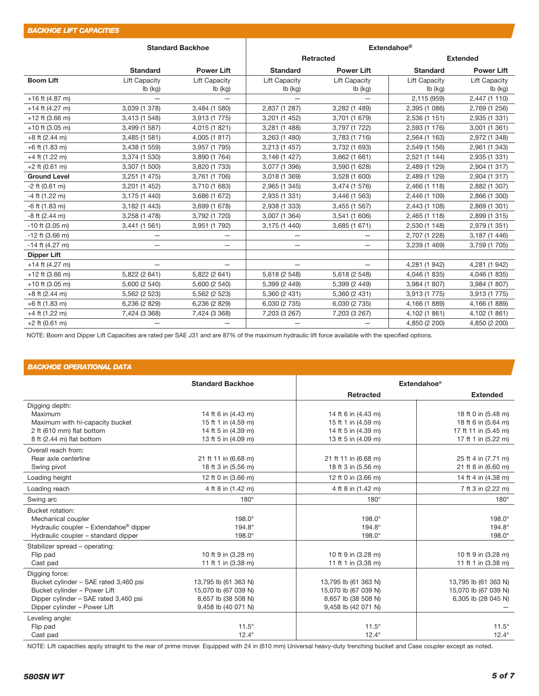| <b>Standard Backhoe</b> |                      | Extendahoe <sup>®</sup>  |                          |                          |                      |                      |  |
|-------------------------|----------------------|--------------------------|--------------------------|--------------------------|----------------------|----------------------|--|
|                         |                      |                          | Retracted                |                          |                      | <b>Extended</b>      |  |
|                         | <b>Standard</b>      | <b>Power Lift</b>        | <b>Standard</b>          | <b>Power Lift</b>        | <b>Standard</b>      | <b>Power Lift</b>    |  |
| <b>Boom Lift</b>        | <b>Lift Capacity</b> | <b>Lift Capacity</b>     | <b>Lift Capacity</b>     | <b>Lift Capacity</b>     | <b>Lift Capacity</b> | <b>Lift Capacity</b> |  |
|                         | lb (kg)              | lb (kg)                  | lb (kg)                  | Ib (kg)                  | lb (kg)              | lb (kg)              |  |
| $+16$ ft (4.87 m)       |                      |                          |                          |                          | 2,115 (959)          | 2,447 (1 110)        |  |
| $+14$ ft (4.27 m)       | 3,039 (1 378)        | 3,484 (1 580)            | 2,837 (1 287)            | 3,282 (1 489)            | 2,395 (1 086)        | 2,769 (1 256)        |  |
| $+12$ ft (3.66 m)       | 3,413 (1 548)        | 3,913 (1 775)            | 3,201 (1 452)            | 3,701 (1 679)            | 2,536 (1 151)        | 2,935 (1 331)        |  |
| $+10$ ft (3.05 m)       | 3,499 (1 587)        | 4,015 (1 821)            | 3,281 (1 488)            | 3,797 (1 722)            | 2,593 (1 176)        | 3,001 (1 361)        |  |
| $+8$ ft (2.44 m)        | 3,485 (1 581)        | 4,005 (1 817)            | 3,263 (1 480)            | 3,783 (1 716)            | 2,564 (1 163)        | 2,972 (1 348)        |  |
| +6 ft (1.83 m)          | 3,438 (1 559)        | 3,957 (1 795)            | 3,213 (1 457)            | 3,732 (1 693)            | 2,549 (1 156)        | 2,961 (1 343)        |  |
| $+4$ ft (1.22 m)        | 3,374 (1 530)        | 3,890 (1 764)            | 3,146 (1 427)            | 3,662 (1 661)            | 2,521 (1 144)        | 2,935 (1 331)        |  |
| $+2$ ft (0.61 m)        | 3,307 (1 500)        | 3,820 (1 733)            | 3,077 (1 396)            | 3,590 (1 628)            | 2,489 (1 129)        | 2,904 (1 317)        |  |
| <b>Ground Level</b>     | 3,251 (1 475)        | 3,761 (1 706)            | 3,018 (1 369)            | 3,528 (1 600)            | 2,489 (1 129)        | 2,904 (1 317)        |  |
| $-2$ ft (0.61 m)        | 3,201 (1 452)        | 3,710 (1 683)            | 2,965 (1 345)            | 3,474 (1 576)            | 2,466 (1 118)        | 2,882 (1 307)        |  |
| $-4$ ft (1.22 m)        | 3,175 (1 440)        | 3,686 (1 672)            | 2,935 (1 331)            | 3,446 (1 563)            | 2,446 (1 109)        | 2,866 (1 300)        |  |
| $-6$ ft (1.83 m)        | 3,182 (1 443)        | 3,699 (1 678)            | 2,938 (1 333)            | 3,455 (1 567)            | 2,443 (1 108)        | 2,869 (1 301)        |  |
| $-8$ ft (2.44 m)        | 3,258 (1 478)        | 3,792 (1 720)            | 3,007 (1 364)            | 3,541 (1 606)            | 2,465 (1 118)        | 2,899 (1 315)        |  |
| $-10$ ft (3.05 m)       | 3,441 (1 561)        | 3,951 (1 792)            | 3,175 (1 440)            | 3,685 (1 671)            | 2,530 (1 148)        | 2,979 (1 351)        |  |
| $-12$ ft (3.66 m)       |                      | —                        |                          |                          | 2,707 (1 228)        | 3,187 (1 446)        |  |
| $-14$ ft (4.27 m)       |                      | $\overline{\phantom{0}}$ |                          | —                        | 3,239 (1 469)        | 3,759 (1 705)        |  |
| <b>Dipper Lift</b>      |                      |                          |                          |                          |                      |                      |  |
| $+14$ ft (4.27 m)       |                      | $\overline{\phantom{0}}$ | $\overline{\phantom{m}}$ | $\overline{\phantom{0}}$ | 4,281 (1 942)        | 4,281 (1 942)        |  |
| $+12$ ft (3.66 m)       | 5,822 (2 641)        | 5,822 (2 641)            | 5,618 (2 548)            | 5,618 (2 548)            | 4,046 (1 835)        | 4,046 (1 835)        |  |
| $+10$ ft (3.05 m)       | 5,600 (2 540)        | 5,600 (2 540)            | 5,399 (2 449)            | 5,399 (2 449)            | 3,984 (1 807)        | 3,984 (1 807)        |  |
| $+8$ ft (2.44 m)        | 5,562 (2 523)        | 5,562 (2 523)            | 5,360 (2 431)            | 5,360 (2 431)            | 3,913 (1 775)        | 3,913 (1 775)        |  |
| $+6$ ft (1.83 m)        | 6,236 (2 829)        | 6,236 (2 829)            | 6,030 (2 735)            | 6,030 (2 735)            | 4,166 (1 889)        | 4,166 (1 889)        |  |
| $+4$ ft (1.22 m)        | 7,424 (3 368)        | 7,424 (3 368)            | 7,203 (3 267)            | 7,203 (3 267)            | 4,102 (1 861)        | 4,102 (1 861)        |  |
| $+2$ ft (0.61 m)        |                      |                          |                          |                          | 4,850 (2 200)        | 4,850 (2 200)        |  |

NOTE: Boom and Dipper Lift Capacities are rated per SAE J31 and are 87% of the maximum hydraulic lift force available with the specified options.

## *BACKHOE OPERATIONAL DATA*

|                                        | <b>Standard Backhoe</b> |                      | <b>Extendahoe®</b>   |
|----------------------------------------|-------------------------|----------------------|----------------------|
|                                        |                         | <b>Retracted</b>     | <b>Extended</b>      |
| Digging depth:                         |                         |                      |                      |
| Maximum                                | 14 ft 6 in (4.43 m)     | 14 ft 6 in (4.43 m)  | 18 ft 0 in (5.48 m)  |
| Maximum with hi-capacity bucket        | 15 ft 1 in (4.59 m)     | 15 ft 1 in (4.59 m)  | 18 ft 6 in (5.64 m)  |
| 2 ft (610 mm) flat bottom              | 14 ft 5 in (4.39 m)     | 14 ft 5 in (4.39 m)  | 17 ft 11 in (5.45 m) |
| 8 ft (2.44 m) flat bottom              | 13 ft 5 in (4.09 m)     | 13 ft 5 in (4.09 m)  | 17 ft 1 in (5.22 m)  |
| Overall reach from:                    |                         |                      |                      |
| Rear axle centerline                   | 21 ft 11 in (6.68 m)    | 21 ft 11 in (6.68 m) | 25 ft 4 in (7.71 m)  |
| Swing pivot                            | 18 ft 3 in (5.56 m)     | 18 ft 3 in (5.56 m)  | 21 ft 8 in (6.60 m)  |
| Loading height                         | 12 ft 0 in (3.66 m)     | 12 ft 0 in (3.66 m)  | 14 ft 4 in (4.38 m)  |
| Loading reach                          | 4 ft 8 in (1.42 m)      | 4 ft 8 in (1.42 m)   | 7 ft 3 in (2.22 m)   |
| Swing arc                              | $180^\circ$             | $180^\circ$          | $180^\circ$          |
| Bucket rotation:                       |                         |                      |                      |
| Mechanical coupler                     | $198.0^\circ$           | $198.0^\circ$        | $198.0^\circ$        |
| Hydraulic coupler - Extendahoe® dipper | 194.8°                  | 194.8°               | 194.8°               |
| Hydraulic coupler - standard dipper    | $198.0^\circ$           | $198.0^\circ$        | $198.0^\circ$        |
| Stabilizer spread - operating:         |                         |                      |                      |
| Flip pad                               | 10 ft 9 in (3.28 m)     | 10 ft 9 in (3.28 m)  | 10 ft 9 in (3.28 m)  |
| Cast pad                               | 11 ft 1 in (3.38 m)     | 11 ft 1 in (3.38 m)  | 11 ft 1 in (3.38 m)  |
| Digging force:                         |                         |                      |                      |
| Bucket cylinder - SAE rated 3,460 psi  | 13,795 lb (61 363 N)    | 13,795 lb (61 363 N) | 13,795 lb (61 363 N) |
| Bucket cylinder - Power Lift           | 15,070 lb (67 039 N)    | 15,070 lb (67 039 N) | 15,070 lb (67 039 N) |
| Dipper cylinder - SAE rated 3,460 psi  | 8,657 lb (38 508 N)     | 8,657 lb (38 508 N)  | 6,305 lb (28 045 N)  |
| Dipper cylinder - Power Lift           | 9,458 lb (40 071 N)     | 9,458 lb (42 071 N)  |                      |
| Leveling angle:                        |                         |                      |                      |
| Flip pad                               | $11.5^\circ$            | $11.5^\circ$         | $11.5^\circ$         |
| Cast pad                               | $12.4^\circ$            | $12.4^\circ$         | $12.4^\circ$         |

NOTE: Lift capacities apply straight to the rear of prime mover. Equipped with 24 in (610 mm) Universal heavy-duty trenching bucket and Case coupler except as noted.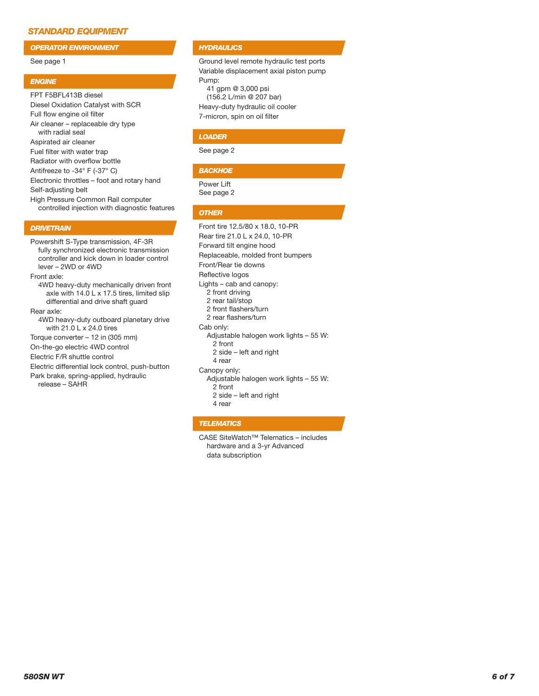## *STANDARD EQUIPMENT*

*OPERATOR ENVIRONMENT*

#### See page 1

#### *ENGINE*

FPT F5BFL413B diesel Diesel Oxidation Catalyst with SCR Full flow engine oil filter Air cleaner – replaceable dry type with radial seal Aspirated air cleaner Fuel filter with water trap Radiator with overflow bottle Antifreeze to -34° F (-37° C) Electronic throttles – foot and rotary hand Self-adjusting belt High Pressure Common Rail computer controlled injection with diagnostic features

## *DRIVETRAIN*

Powershift S-Type transmission, 4F-3R fully synchronized electronic transmission controller and kick down in loader control lever – 2WD or 4WD

Front axle:

4WD heavy-duty mechanically driven front axle with 14.0 L x 17.5 tires, limited slip differential and drive shaft guard

Rear axle:

4WD heavy-duty outboard planetary drive with 21.0 L x 24.0 tires

Torque converter – 12 in (305 mm)

On-the-go electric 4WD control

Electric F/R shuttle control

Electric differential lock control, push-button

Park brake, spring-applied, hydraulic release – SAHR

## *HYDRAULICS*

Ground level remote hydraulic test ports Variable displacement axial piston pump Pump: 41 gpm @ 3,000 psi (156.2 L/min @ 207 bar) Heavy-duty hydraulic oil cooler

7-micron, spin on oil filter

#### *LOADER*

See page 2

#### *BACKHOE*

Power Lift See page 2

#### *OTHER*

Front tire 12.5/80 x 18.0, 10-PR Rear tire 21.0 L x 24.0, 10-PR Forward tilt engine hood Replaceable, molded front bumpers Front/Rear tie downs Reflective logos Lights – cab and canopy: 2 front driving 2 rear tail/stop 2 front flashers/turn 2 rear flashers/turn Cab only: Adjustable halogen work lights – 55 W: 2 front 2 side – left and right 4 rear Canopy only: Adjustable halogen work lights – 55 W: 2 front 2 side – left and right 4 rear

## *TELEMATICS*

CASE SiteWatch™ Telematics – includes hardware and a 3-yr Advanced data subscription